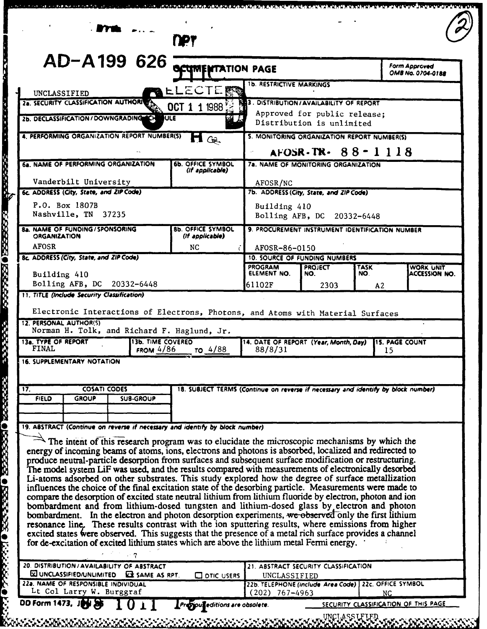|                                                              | UNCLASSIFIED<br>28. SECURITY CLASSIFICATION AUTHORICS<br>2b. DECLASSIFICATION / DOWNGRADING<br>6a. NAME OF PERFORMING ORGANIZATION |                                         | <b>PALLECTERS</b><br>OCT 1 1 1988<br><b>NULE</b><br>GQ                                                                                                                                                                                                                                                                                                                                                                                                                                                                                                                                                                                                                                                                                                                                                                                                  | <b>1b. RESTRICTIVE MARKINGS</b><br>3. DISTRIBUTION/AVAILABILITY OF REPORT                                   | Approved for public release;<br>Distribution is unlimited |     | OMB No. 0704-0188                           |  |  |  |
|--------------------------------------------------------------|------------------------------------------------------------------------------------------------------------------------------------|-----------------------------------------|---------------------------------------------------------------------------------------------------------------------------------------------------------------------------------------------------------------------------------------------------------------------------------------------------------------------------------------------------------------------------------------------------------------------------------------------------------------------------------------------------------------------------------------------------------------------------------------------------------------------------------------------------------------------------------------------------------------------------------------------------------------------------------------------------------------------------------------------------------|-------------------------------------------------------------------------------------------------------------|-----------------------------------------------------------|-----|---------------------------------------------|--|--|--|
|                                                              |                                                                                                                                    |                                         |                                                                                                                                                                                                                                                                                                                                                                                                                                                                                                                                                                                                                                                                                                                                                                                                                                                         |                                                                                                             |                                                           |     |                                             |  |  |  |
|                                                              |                                                                                                                                    |                                         |                                                                                                                                                                                                                                                                                                                                                                                                                                                                                                                                                                                                                                                                                                                                                                                                                                                         |                                                                                                             |                                                           |     |                                             |  |  |  |
|                                                              |                                                                                                                                    |                                         |                                                                                                                                                                                                                                                                                                                                                                                                                                                                                                                                                                                                                                                                                                                                                                                                                                                         |                                                                                                             |                                                           |     |                                             |  |  |  |
|                                                              |                                                                                                                                    |                                         | 4. PERFORMING ORGANIZATION REPORT NUMBER(S)                                                                                                                                                                                                                                                                                                                                                                                                                                                                                                                                                                                                                                                                                                                                                                                                             |                                                                                                             |                                                           |     | 5. MONITORING ORGANIZATION REPORT NUMBER(S) |  |  |  |
|                                                              |                                                                                                                                    |                                         |                                                                                                                                                                                                                                                                                                                                                                                                                                                                                                                                                                                                                                                                                                                                                                                                                                                         |                                                                                                             | $AFOSR$ -TR- $88 - 1118$                                  |     |                                             |  |  |  |
|                                                              |                                                                                                                                    |                                         | <b>6b. OFFICE SYMBOL</b><br>(if applicable)                                                                                                                                                                                                                                                                                                                                                                                                                                                                                                                                                                                                                                                                                                                                                                                                             |                                                                                                             | 7a. NAME OF MONITORING ORGANIZATION                       |     |                                             |  |  |  |
|                                                              | Vanderbilt University                                                                                                              |                                         |                                                                                                                                                                                                                                                                                                                                                                                                                                                                                                                                                                                                                                                                                                                                                                                                                                                         | AFOSR/NC                                                                                                    |                                                           |     |                                             |  |  |  |
| 6c. ADDRESS (City, State, and ZIP Code)                      |                                                                                                                                    |                                         |                                                                                                                                                                                                                                                                                                                                                                                                                                                                                                                                                                                                                                                                                                                                                                                                                                                         | 7b. ADDRESS (City, State, and ZIP Code)                                                                     |                                                           |     |                                             |  |  |  |
| P.O. Box 1807B<br>Nashville, TN 37235                        |                                                                                                                                    |                                         |                                                                                                                                                                                                                                                                                                                                                                                                                                                                                                                                                                                                                                                                                                                                                                                                                                                         | Building 410                                                                                                |                                                           |     |                                             |  |  |  |
| 8a. NAME OF FUNDING / SPONSORING<br><b>8b. OFFICE SYMBOL</b> |                                                                                                                                    |                                         |                                                                                                                                                                                                                                                                                                                                                                                                                                                                                                                                                                                                                                                                                                                                                                                                                                                         | Bolling AFB, DC 20332-6448<br>9. PROCUREMENT INSTRUMENT IDENTIFICATION NUMBER                               |                                                           |     |                                             |  |  |  |
| <b>ORGANIZATION</b>                                          |                                                                                                                                    |                                         | (If applicable)                                                                                                                                                                                                                                                                                                                                                                                                                                                                                                                                                                                                                                                                                                                                                                                                                                         |                                                                                                             |                                                           |     |                                             |  |  |  |
| <b>AFOSR</b><br>8c. ADDRESS (City, State, and ZIP Code)      |                                                                                                                                    |                                         | NC.                                                                                                                                                                                                                                                                                                                                                                                                                                                                                                                                                                                                                                                                                                                                                                                                                                                     | AFOSR-86-0150                                                                                               |                                                           |     |                                             |  |  |  |
|                                                              |                                                                                                                                    |                                         |                                                                                                                                                                                                                                                                                                                                                                                                                                                                                                                                                                                                                                                                                                                                                                                                                                                         | <b>10. SOURCE OF FUNDING NUMBERS</b><br><b>PROGRAM</b><br><b>TASK</b><br><b>PROJECT</b><br><b>WORK UNIT</b> |                                                           |     |                                             |  |  |  |
| Building 410<br>Bolling AFB, DC 20332-6448                   |                                                                                                                                    |                                         |                                                                                                                                                                                                                                                                                                                                                                                                                                                                                                                                                                                                                                                                                                                                                                                                                                                         | ELEMENT NO.<br>61102F                                                                                       | NO.<br>2303                                               | NO. | ACCESSION NO.                               |  |  |  |
| 11. TITLE (Include Security Classification)                  |                                                                                                                                    |                                         |                                                                                                                                                                                                                                                                                                                                                                                                                                                                                                                                                                                                                                                                                                                                                                                                                                                         |                                                                                                             |                                                           | A2  |                                             |  |  |  |
| 13a. TYPE OF REPORT<br><b>FINAL</b>                          | 16. SUPPLEMENTARY NOTATION                                                                                                         | <b>13b. TIME COVERED</b><br>FROM $4/86$ | TO 4/88                                                                                                                                                                                                                                                                                                                                                                                                                                                                                                                                                                                                                                                                                                                                                                                                                                                 | 14. DATE OF REPORT (Year, Month, Day)<br>88/8/31                                                            |                                                           |     | <b>115. PAGE COUNT</b><br>15                |  |  |  |
|                                                              |                                                                                                                                    |                                         |                                                                                                                                                                                                                                                                                                                                                                                                                                                                                                                                                                                                                                                                                                                                                                                                                                                         |                                                                                                             |                                                           |     |                                             |  |  |  |
| $\overline{\mathbf{17}}$ .<br><b>FIELD</b>                   | <b>COSATI CODES</b><br><b>GROUP</b>                                                                                                | <b>SUB-GROUP</b>                        |                                                                                                                                                                                                                                                                                                                                                                                                                                                                                                                                                                                                                                                                                                                                                                                                                                                         | 18. SUBJECT TERMS (Continue on reverse if necessary and identify by block number)                           |                                                           |     |                                             |  |  |  |
|                                                              |                                                                                                                                    |                                         |                                                                                                                                                                                                                                                                                                                                                                                                                                                                                                                                                                                                                                                                                                                                                                                                                                                         |                                                                                                             |                                                           |     |                                             |  |  |  |
|                                                              |                                                                                                                                    |                                         | 19. ABSTRACT (Continue on reverse if necessary and identify by block number)                                                                                                                                                                                                                                                                                                                                                                                                                                                                                                                                                                                                                                                                                                                                                                            |                                                                                                             |                                                           |     |                                             |  |  |  |
|                                                              |                                                                                                                                    |                                         | The intent of this research program was to elucidate the microscopic mechanisms by which the<br>energy of incoming beams of atoms, ions, electrons and photons is absorbed, localized and redirected to<br>produce neutral-particle desorption from surfaces and subsequent surface modification or restructuring.<br>The model system LiF was used, and the results compared with measurements of electronically desorbed<br>Li-atoms adsorbed on other substrates. This study explored how the degree of surface metallization<br>influences the choice of the final excitation state of the desorbing particle. Measurements were made to<br>compare the desorption of excited state neutral lithium from lithium fluoride by electron, photon and ion<br>bombardment and from lithium-dosed tungsten and lithium-dosed glass by electron and photon | bombardment. In the electron and photon desorption experiments, we observed only the first lithium          |                                                           |     |                                             |  |  |  |

ا رقبہ رہی<sup>ں ک</sup>ے بڑے میں جہاں کہ ان کے بعد کے باعث میں ان کے بعد ا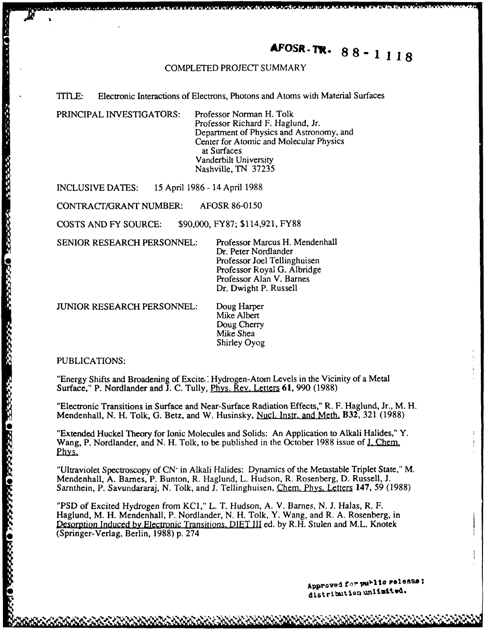# **AFOSR. TR.** 88-1118

#### COMPLETED **PROJECT** SUMMARY

#### TITLE: Electronic Interactions of Electrons, Photons and Atoms with Material Surfaces

PRINCIPAL INVESTIGATORS: Professor Norman H. Tolk

Professor Richard F. Haglund, Jr. Department of Physics and Astronomy, and Center for Atomic and Molecular Physics at Surfaces Vanderbilt University Nashville, TN 37235

INCLUSIVE DATES: 15 April 1986 - 14 April 1988

CONTRACT/GRANT NUMBER: AFOSR 86-0150

COSTS AND FY SOURCE: \$90,000, FY87; \$114,921, FY88

SENIOR RESEARCH PERSONNEL: Professor Marcus H. Mendenhall

Dr. Peter Nordlander Professor Joel Tellinghuisen Professor Royal G. Albridge Professor Alan V. Barnes Dr. Dwight P. Russell

JUNIOR RESEARCH PERSONNEL: Doug Harper

Mike Albert Doug Cherry Mike Shea Shirley Oyog

PUBLICATIONS:

"Energy Shifts and Broadening of Excite.' Hydrogen-Atom Levels in the Vicinity of a Metal Surface," P. Nordlander and J. C. Tully, Phys, Rev. Letters **61,** 990 (1988)

"Electronic Transitions in Surface and Near-Surface Radiation Effects," R. F. Haglund, Jr., M. H. Mendenhall, N. H. Tolk, G. Betz, and W. Husinsky, Nucl. Instr. and Meth. B32, 321 (1988)

"Extended Huckel Theory for Ionic Molecules and Solids: An Application to Alkali Halides," Y. Wang, P. Nordlander, and N. H. Tolk, to be published in the October 1988 issue of **J.** Chem. Phys.

"Ultraviolet Spectroscopy of **CN-** in Alkali Halides: Dynamics of the Metastable Triplet State," M. Sarnthein, P. Savundararaj, N. Tolk, and J. Tellinghuisen, Chem. Phys. Letters 147, 59 (1988)

FRINCIPAL INVESTIGATORS:<br>
Separation (11 Topics and Assemberg, and<br>
Context for Abound, E.<br>
Context for Abound, The Context of Physics and Assemberg, and<br>
separation (1995) and FRINCIPES.<br>
IS April 1986 - 14 April 1988<br>
CO "PSD of Excited Hydrogen from KCI," L. T. Hudson, A. V. Barnes, N. J. Halas, R. F. Haglund, M. H. Mendenhall, P. Nordlander, N. H. Tolk, Y. Wang, and R. A. Rosenberg, in Desorpfion Induced **by** Electronic Transitions. **DIET III** ed. by R.H. Stulen and M.L. Knotek \* (Springer-Verlag, Berlin, 1988) p. 274

Approved for purlic release;<br>distribution unlimited.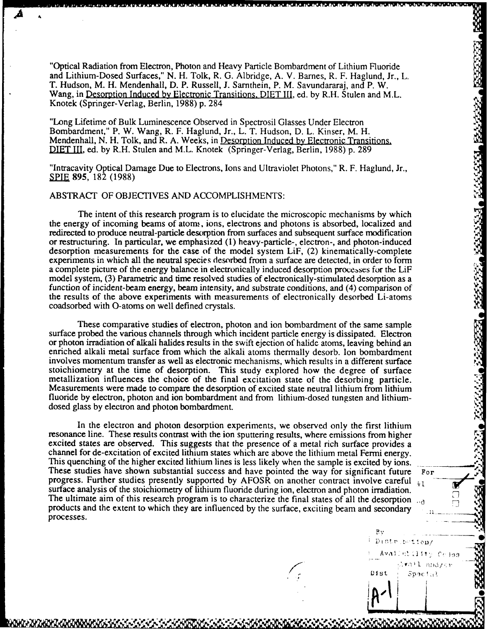"Optical Radiation from Electron, Photon and Heavy Particle Bombardment of Lithium Fluoride and Lithium-Dosed Surfaces," N. H. Tolk, R. G. Albridge, A. V. Barnes, R. F. Haglund, Jr., L. T. Hudson, M. H. Mendenhall, D. P. Russell, J. Sarnthein, P. M. Savundararaj, and P. W. Wang, in Desorption Induced by Electronic Transitions. DIET III, ed. by R.H. Stulen and M.L. Knotek (Springer-Verlag, Berlin, 1988) p. 284

"Long Lifetime of Bulk Luminescence Observed in Spectrosil Glasses Under Electron Bombardment," P. W. Wang, R. F. Haglund, Jr., L. T. Hudson, D. L. Kinser, M. H. Mendenhall, N. H. Tolk, and R. A. Weeks, in Desorption Induced **by** Electronic Transitions. **DIET** III, ed. by R.H. Stulen and M.L. Knotek (Springer-Verlag, Berlin, 1988) p. 289

"Intracavity Optical Damage Due to Electrons, Ions and Ultraviolet Photons," R. F. Haglund, Jr., SPIE 895, 182 (1988)

#### ABSTRACT OF OBJECTIVES AND ACCOMPLISHMENTS:

The intent of this research program is to elucidate the microscopic mechanisms by which the energy of incoming beams of atoms, ions, electrons and photons is absorbed, localized and redirected to produce neutral-particle desorption from surfaces and subsequent surface modification or restructuring. In particular, we emphasized (1) heavy-particle-, electron-, and photon-induced desorption measurements for the case of the model system LiF, (2) kinematically-complete experiments in which all the neutral species desorbed from a surface are detected, in order to form a complete picture of the energy balance in electronically induced desorption processes for the LiF model system, (3) Parametric and time resolved studies of electronically-stimulated desorption as a function of incident-beam energy, beam intensity, and substrate conditions, and (4) comparison of the results of the above experiments with measurements of electronically desorbed Li-atoms coadsorbed with O-atoms on well defined crystals.

These comparative studies of electron, photon and ion bombardment of the same sample surface probed the various channels through which incident particle energy is dissipated. Electron or photon irradiation of alkali halides results in the swift ejection of halide atoms, leaving behind an enriched alkali metal surface from which the alkali atoms thermally desorb. Ion bombardment involves momentum transfer as well as electronic mechanisms, which results in a different surface stoichiometry at the time of desorption. This study explored how the degree of surface metallization influences the choice of the final excitation state of the desorbing particle. Measurements were made to compare the desorption of excited state neutral lithium from lithium fluoride by electron, photon and ion bombardment and from lithium-dosed tungsten and lithiumdosed glass by electron and photon bombardment.

In the electron and photon desorption experiments, we observed only the first lithium resonance line. These results contrast with the ion sputtering results, where emissions from higher excited states are observed. This suggests that the presence of a metal rich surface provides a channel for de-excitation of excited lithium states which are above the lithium metal Fermi energy. This quenching of the higher excited lithium lines is less likely when the sample is excited **by** ions. These studies have shown substantial success and have pointed the way for significant future For progress. Further studies presently supported by AFOSR on another contract involve careful  $\frac{1}{2}$  surface analysis of the stoichiometry of lithium fluoride during ion, electron and photon irradiation. The ultimate aim of this research program is to characterize the final states of all the desorption  $\frac{1}{10}$  products and the extent to which they are influenced by the surface, exciting beam and secondary processes.

 $Bv$ Distribution/ Availat11fty Cclas  $\lambda$ *va'l and/er* Dist Spacial *L* **!-z** *-,'ft*

U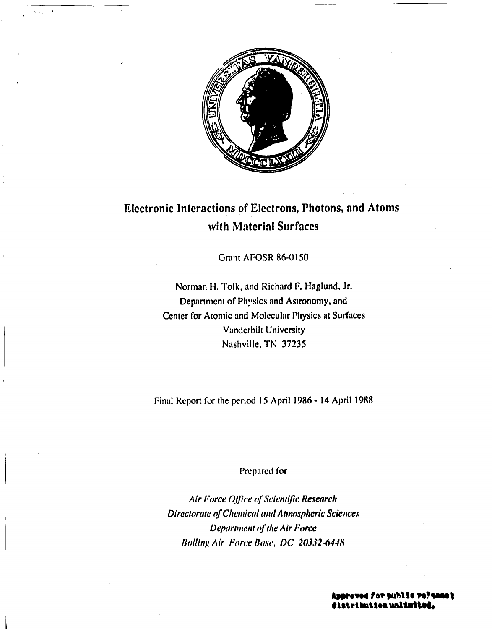

# Electronic Interactions of Electrons, Photons, and **Atoms** with Material Surfaces

Grant AFOSR 86-0150

Norman **1H.** Tolk, and Richard F. Haglund, Jr. Department of Physics and Astronomy, and Center for Atomic and Molecular Physics at Surfaces Vanderbilt University Nashville, TN 37235

Final Report for the period 15 April 1986 - <sup>14</sup>April **1988**

# Prepared **for**

Air Force Office of Scientific Research Directorate *of* Chemical **awl** *A tmnospheric* Sciences Department of the Air Force *iolling* Air Force *Base, DC 20.32-6448*

**Areved for public refinances**<br>Arthution **unlimited.**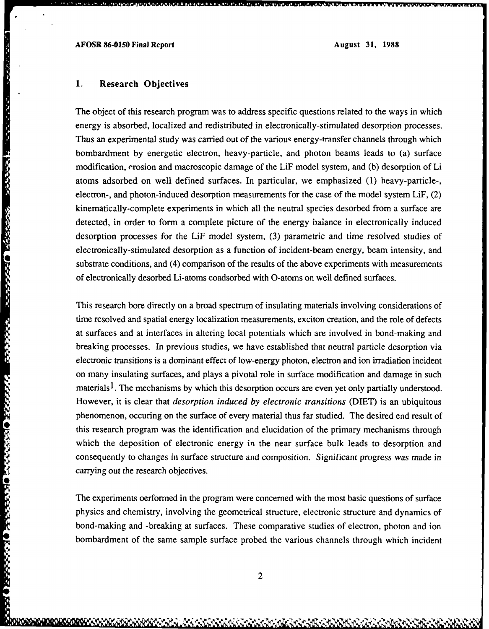#### **1.** Research Objectives

**CONTRACTOR** 

*<b>OFFREE CONTRACTES CONTRACTES* 

The object of this research program was to address specific questions related to the ways in which energy is absorbed, localized and redistributed in electronically-stimulated desorption processes. Thus an experimental study was carried out of the various energy-transfer channels through which bombardment by energetic electron, heavy-particle, and photon beams leads to (a) surface modification, erosion and macroscopic damage of the LiF model system, and (b) desorption of Li atoms adsorbed on well defined surfaces. In particular, we emphasized (1) heavy-particle-, electron-, and photon-induced desorption measurements for the case of the model system LiF, (2) kinematically-complete experiments *in* which all the neutral species desorbed from a surface are detected, in order to form a complete picture of the energy balance in electronically induced desorption processes for the LiF model system, (3) parametric and time resolved studies of electronically-stimulated desorption as a function of incident-beam energy, beam intensity, and The object of this research program was to address specific questions related to the ways in which<br>energy is absorbed, localized and redistributed in electronically-stimulated desorption processes.<br>Thus an experimental stu of electronically desorbed Li-atoms coadsorbed with 0-atoms on well defined surfaces.

This research bore directly on a broad spectrum of insulating materials involving considerations of time resolved and spatial energy localization measurements, exciton creation, and the role of defects at surfaces and at interfaces in altering local potentials which are involved in bond-making and breaking processes. In previous studies, we have established that neutral particle desorption via electronic transitions is a dominant effect of low-energy photon, electron and ion irradiation incident on many insulating surfaces, and plays a pivotal role in surface modification and damage in such materials<sup>1</sup>. The mechanisms by which this desorption occurs are even yet only partially understood. However, it is clear that *desorption induced by electronic transitions* (DIET) is an ubiquitous phenomenon, occuring on the surface of every material thus far studied. The desired end result of this research program was the identification and elucidation of the primary mechanisms through which the deposition of electronic energy in the near surface bulk leads to desorption and consequently to changes in surface structure and composition. Significant progress was made in carrying out the research objectives.

The experiments oerformed in the program were concerned with the most basic questions of surface physics and chemistry, involving the geometrical structure, electronic structure and dynamics of bond-making and -breaking at surfaces. These comparative studies of electron, photon and ion bombardment of the same sample surface probed the various channels through which incident

2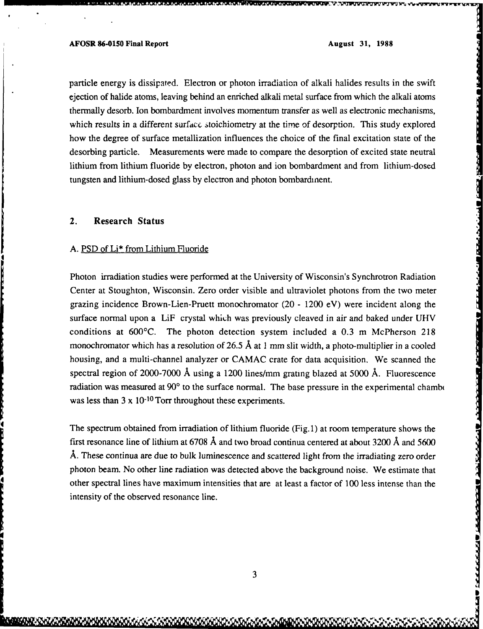**DERE ERRORENT EF***FECTS***TEC ERRORER EFFECTS** 

particle energy is dissipated. Electron or photon irradiation of alkali halides results in the swift ejection of halide atoms, leaving behind an enriched alkali metal surface from which the alkali atoms thermally desorb. Ion bombardment involves momentum transfer as well as electronic mechanisms, which results in a different *surface* stoichiometry at the time of desorption. This study explored how the degree of surface metallization influences the choice of the final excitation state of the desorbing particle. Measurements were made to compare the desorption of excited state neutral lithium from lithium fluoride by electron, photon and ion bombardment and from lithium-dosed tungsten and lithium-dosed glass by electron and photon bombardinent.

## 2. Research Status

#### A. PSD of Li\* from Lithium Fluoride

Photon irradiation studies were performed at the University of Wisconsin's Synchrotron Radiation Center at Stoughton, Wisconsin. Zero order visible and ultraviolet photons from the two meter grazing incidence Brown-Lien-Pruett monochromator (20 - 1200 eV) were incident along the surface normal upon a LiF crystal which was previously cleaved in air and baked under UHV conditions at 600'C. The photon detection system included a 0.3 m McPherson 218 monochromator which has a resolution of 26.5 **A** at 1 mm slit width, a photo-multiplier in a cooled housing, and a multi-channel analyzer or CAMAC crate for data acquisition. We scanned the spectral region of 2000-7000 **A** using a 1200 lines/mm grating blazed at 5000 **A.** Fluorescence radiation was measured at 90° to the surface normal. The base pressure in the experimental chambe was less than 3 x 10<sup>-10</sup> Torr throughout these experiments.

The spectrum obtained from irradiation of lithium fluoride (Fig. 1) at room temperature shows the first resonance line of lithium at 6708 **A** and two broad continua centered at about 3200 **A** and 5600 **A.** These continua are due to bulk luminescence and scattered light from the irradiating zero order photon beam. No other line radiation was detected above the background noise. We estimate that other spectral lines have maximum intensities that are at least a factor of **100** less intense than the intensity of the observed resonance line.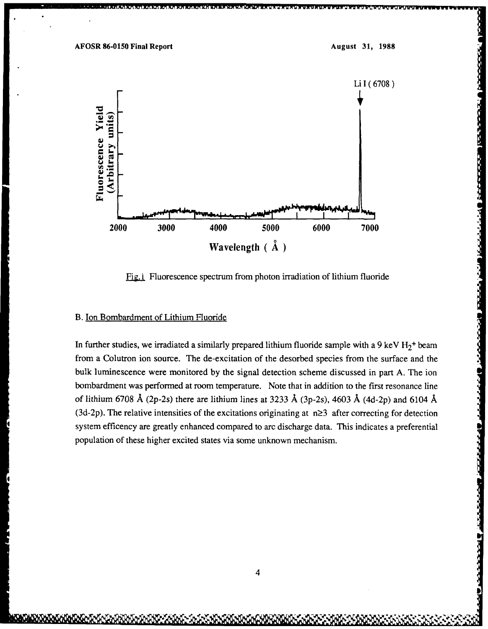

Fig. Fluorescence spectrum from photon irradiation of lithium fluoride

# B. Ion Bombardment of Lithium Fluoride

In further studies, we irradiated a similarly prepared lithium fluoride sample with a 9 keV  $H_2^+$  beam from a Colutron ion source. The de-excitation of the desorbed species from the surface and the bulk luminescence were monitored **by** the signal detection scheme discussed in part A. The ion bombardment was performed at room temperature. Note that in addition to the first resonance line of lithium 6708 **A** (2p-2s) there are lithium lines at 3233 **A** (3p-2s), 4603 **A** (4d-2p) and 6104 **A** (3d-2p). The relative intensities of the excitations originating at  $n\geq 3$  after correcting for detection system efficency are greatly enhanced compared to arc discharge data. This indicates a preferential population of these higher excited states via some unknown mechanism.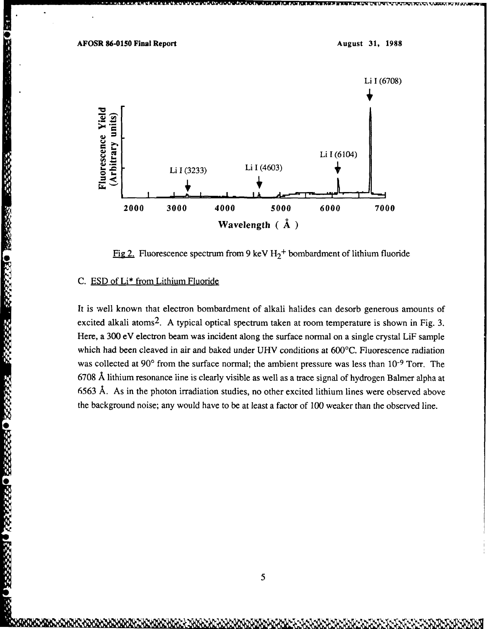

Fig 2. Fluorescence spectrum from 9 keV  $H_2$ <sup>+</sup> bombardment of lithium fluoride

# C. ESD of Li\* from Lithium Fluoride

**SEEBED REPORTS O BESSED BOOTBER** 

It is well known that electron bombardment of alkali halides can desorb generous amounts of excited alkali atoms<sup>2</sup>. A typical optical spectrum taken at room temperature is shown in Fig. 3. Here, a 300 eV electron beam was incident along the surface normal on a single crystal LiF sample which had been cleaved in air and baked under UHV conditions at 600°C. Fluorescence radiation was collected at 90<sup>°</sup> from the surface normal; the ambient pressure was less than 10<sup>-9</sup> Torr. The 6708 **A** lithium resonance line is clearly visible as well as a trace signal of hydrogen Balmer alpha at 6563 **A.** As in the photon irradiation studies, no other excited lithium lines were observed above the background noise; any would have to be at least a factor of 100 weaker than the observed line.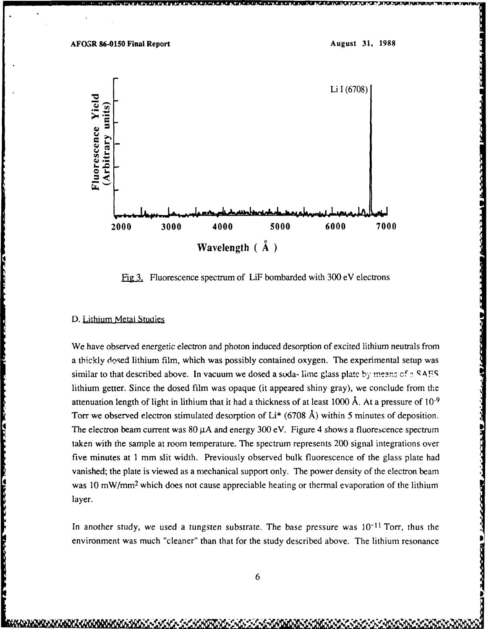

Fig3. Fluorescence spectrum of LiF bombarded with 300 eV electrons

#### D. Lithium Metal Studies

**A PARTICULAR AND A PARTICULAR AND A PARTICULAR AND A PARTICULAR AND A PARTICULAR AND A PARTICULAR AND A PARTICULAR AND A PARTICULAR AND A PARTICULAR AND A PARTICULAR AND A PARTICULAR AND A PARTICULAR AND A PARTICULAR AND** 

We have observed energetic electron and photon induced desorption of excited lithium neutrals from a thickly dosed lithium film, which was possibly contained oxygen. The experimental setup was similar to that described above. In vacuum we dosed a soda- lime glass plate by means of a **SAES** lithium getter. Since the dosed film was opaque (it appeared shiny gray), we conclude from the attenuation length of light in lithium that it had a thickness of at least 1000 **A.** At a pressure of **10-9** Torr we observed electron stimulated desorption of Li\* (6708 **A)** within 5 minutes of deposition. The electron beam current was 80  $\mu$ A and energy 300 eV. Figure 4 shows a fluorescence spectrum taken with the sample at room temperature. The spectrum represents 200 signal integrations over five minutes at 1 mm slit width. Previously observed bulk fluorescence of the glass plate had vanished; the plate is viewed as a mechanical support only. The power density of the electron beam was 10 mW/mm<sup>2</sup> which does not cause appreciable heating or thermal evaporation of the lithium layer.

In another study, we used a tungsten substrate. The base pressure was  $10^{-11}$  Torr, thus the environment was much "cleaner" than that for the study described above. The lithium resonance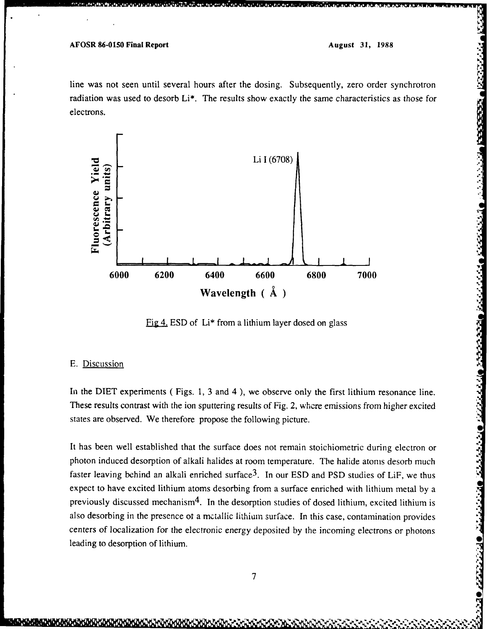kka kalendar (1993) (Kalendar 1993)

line was not seen until several hours after the dosing. Subsequently, zero order synchrotron radiation was used to desorb Li\*. The results show exactly the same characteristics as those for electrons.



**EigA. ESD** of Li\* from a lithium layer dosed on glass

#### **E.** Discussion

In the DIET experiments ( Figs. 1, 3 and 4 ), we observe only the first lithium resonance line. These results contrast with the ion sputtering results of Fig. 2, whcre emissions from higher excited states are observed. We therefore propose the following picture.

**Example 12**<br> **Example 12**<br> **Example 12**<br> **Example 12**<br> **Example 12**<br> **Example 12**<br> **Example 12**<br> **Example 12**<br> **Example 12**<br> **Example 12**<br> **Example 12**<br> **Example 12**<br> **Example 12**<br> **Example 12**<br> **Example 12**<br> **Example 12** It has been well established that the surface does not remain stoichiometric during electron or photon induced desorption of alkali halides at room temperature. The halide atoms desorb much faster leaving behind an alkali enriched surface<sup>3</sup>. In our ESD and PSD studies of LiF, we thus expect to have excited lithium atoms desorbing from a surface enriched with lithium metal by a previously discussed mechanism<sup>4</sup>. In the desorption studies of dosed lithium, excited lithium is also desorbing in the presence ot a mctallic lithium surface. In this case, contamination provides centers of localization for the electronic energy deposited by the incoming electrons or photons leading to desorption of lithium. **0**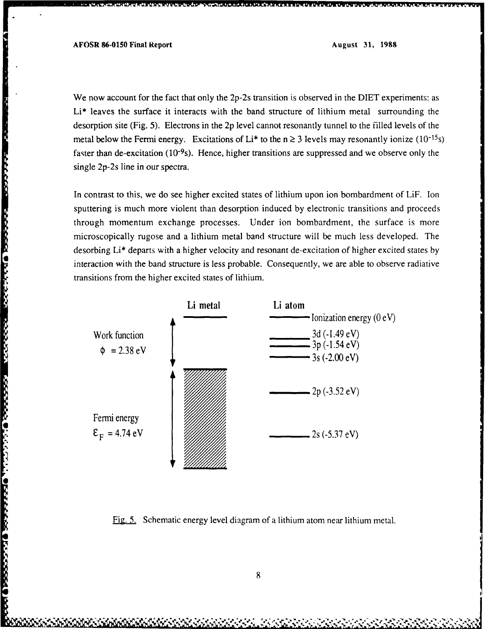まんしんかんの ことかからの リックゲーム

**WARRANTI LOGSWAO JULIA (PARTICALISTA) DE L'ASSOCIO LA CA** 

We now account for the fact that only the 2p-2s transition is observed in the DIET experiments: as Li\* leaves the surface it interacts with the band structure of lithium metal surrounding the desorption site (Fig. 5). Electrons in the 2p level cannot resonantly tunnel to the filled levels of the metal below the Fermi energy. Excitations of Li<sup>\*</sup> to the  $n \ge 3$  levels may resonantly ionize (10<sup>-15</sup>s) faster than de-excitation ( $10^{-9}$ s). Hence, higher transitions are suppressed and we observe only the single 2p-2s line in our spectra.

In contrast to this, we do see higher excited states of lithium upon ion bombardment of LiF. Ion sputtering is much more violent than desorption induced by electronic transitions and proceeds through momentum exchange processes. Under ion bombardment, the surface is more microscopically rugose and a lithium metal band structure will be much less developed. The desorbing Li\* departs with a higher velocity and resonant de-excitation of higher excited states by interaction with the band structure is less probable. Consequently, we are able to observe radiative transitions from the higher excited states of lithium.



Fig. 5. Schematic energy level diagram of a lithium atom near lithium metal.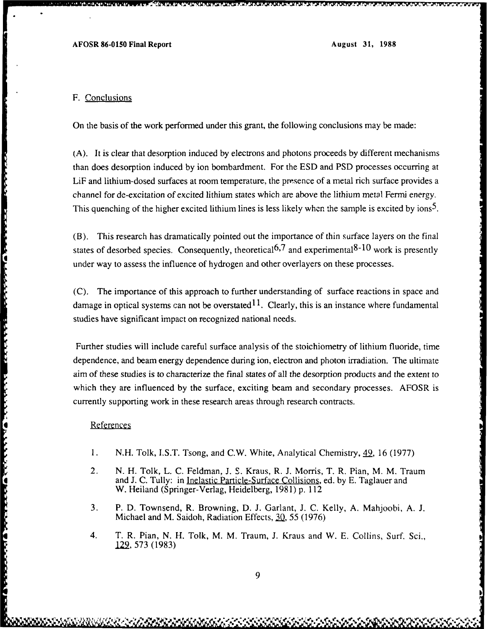#### F. Conclusions

*CONSTRUCTION CONTINUES* 

スキャン じょうこう しょうしょうじょう しいしょうしん いっこう しょうかい アイ・ステーション アイ・ファイン

On the basis of the work performed under this grant, the following conclusions may be made:

(A). It is clear that desorption induced by electrons and photons proceeds by different mechanisms than does desorption induced by ion bombardment, For the ESD and PSD processes occurring at LiF and lithium-dosed surfaces at room temperature, the presence of a metal rich surface provides a channel for de-excitation of excited lithium states which are above the lithium metal Fermi energy. This quenching of the higher excited lithium lines is less likely when the sample is excited by ions<sup>5</sup>.

(B). This research has dramatically pointed out the importance of thin surface layers on the final states of desorbed species. Consequently, theoretical<sup>6,7</sup> and experimental<sup>8-10</sup> work is presently under way to assess the influence of hydrogen and other overlayers on these processes.

(C). The importance of this approach to further understanding of surface reactions in space and damage in optical systems can not be overstated  $11$ . Clearly, this is an instance where fundamental studies have significant impact on recognized national needs.

Further studies will include careful surface analysis of the stoichiometry of lithium fluoride, time dependence, and beam energy dependence during ion, electron and photon irradiation. The ultimate aim of these studies is to characterize the final states of all the desorption products and the extent to which they are influenced by the surface, exciting beam and secondary processes. AFOSR is currently supporting work in these research areas through research contracts.

#### References

- **I.** N.H. Tolk, I.S.T. Tsong, and C.W. White, Analytical Chemistry, **42,** 16 (1977)
- 2. N. H. Tolk, L. C. Feldman, J. S. Kraus, R. J. Morris, T. R. Pian, M. M. Traum and J. C. Tully: in Inelastic Particle-Surface Collisions, ed. by E. Taglauer and W. Heiland (Springer-Verlag, Heidelberg, 1981) p. 112
- 3. P. D. Townsend, R. Browning, D. J. Garlant, J. C. Kelly, A. Mahjoobi, A. J. Michael and M. Saidoh, Radiation Effects, 30, 55 (1976)
- 4. T. R. Pian, N. H. Tolk, M. M. Traum, J. Kraus and W. E. Collins, Surf. Sci., <u>129,</u> 573 (1983)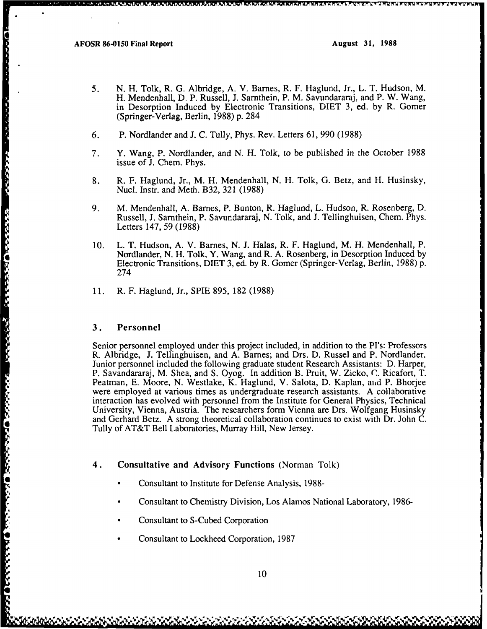**BEACHER** 

research and the contract of the contract of the contract of the contract of the contract of the contract of t

- **5. N.** H. Tolk, R. **G.** Albridge, **A.** V. Barnes, R. F. Haglund, Jr., L. T. Hudson, M. H. Mendenhall, **D.** P. Russell, J. Sarthein, P. M. Savundararaj, and P. W. Wang, in Desorption Induced **by** Electronic Transitions, **DIET 3,** ed. **by** R. Gomer (Springer-Verlag, Berlin, **1988)** p. 284
- **6.** P. Nordlander **and J. C.** Tully, Phys. Rev. Letters 61, **990 (1988)**
- **7.** Y. Wang, P. Nordlander, and **N.** H. Tolk, to be published in the October **1988** issue of **J.** Chem. Phys.
- **8.** R. F. Haglund, Jr., M. H. Mendenhall, **N.** H. Tolk, **G.** Betz, and **11.** Husinsky, Nucl. Instr. and Meth. B32, **321 (1988)**
- **9.** M. Mendenhall, **A.** Barnes, P. Bunton, R. Haglund, L. Hudson, R. Rosenberg, **D.** Russell, **J.** Sarnthein, P. Savurdararaj, **N.** Tolk, and **J.** Tellinghuisen, Chem. Phys. Letters 147, **59 (1988)**
- **10.** L. T. Hudson, **A.** V. Barnes, **N. J.** Halas, R. F. Haglund, M. H. Mendenhall, P. Nordlander, **N.** H. Tolk, Y. Wang, and R. **A.** Rosenberg, in Desorption Induced **by** Electronic Transitions, **DIET 3,** ed. **by** R. Gomer (Springer-Verlag, Berlin, **1988) p.** 274
- **11.** R. F. Haglund, Jr., **SPIE 895, 182 (1988)**

#### **3.** Personnel

Senior personnel employed under this project included, in addition to the PI's: Professors R. Albridge, **J.** Tellinghuisen, and **A.** Barnes; and Drs. **D.** Russel and P. Nordlander. Junior personnel included the following graduate student Research Assistants: D. Harper, P. Savandararaj, M. Shea, and S. Oyog. In addition B. Pruit, W. Zicko, **(7.** Ricafort, T. Peatman, E. Moore, N. Westlake, K. Haglund, V. Salota, D. Kaplan, aid P. Bhorjee were employed at various times as undergraduate research assistants. A collaborative interaction has evolved with personnel from the Institute for General Physics, Technical University, Vienna, Austria. The researchers form Vienna are Drs. Wolfgang Husinsky and Gerhard Betz. A strong theoretical collaboration continues to exist with Dr. John C. Tully of AT&T Bell Laboratories, Murray Hill, New Jersey.

#### **4. Consultative and Advisory Functions** (Norman Tolk)

- Consultant to Institute for Defense Analysis, 1988-
- \* Consultant to Chemistry Division, Los Alamos National Laboratory, 1986-
- Consultant to S-Cubed Corporation
- Consultant to Lockheed Corporation, 1987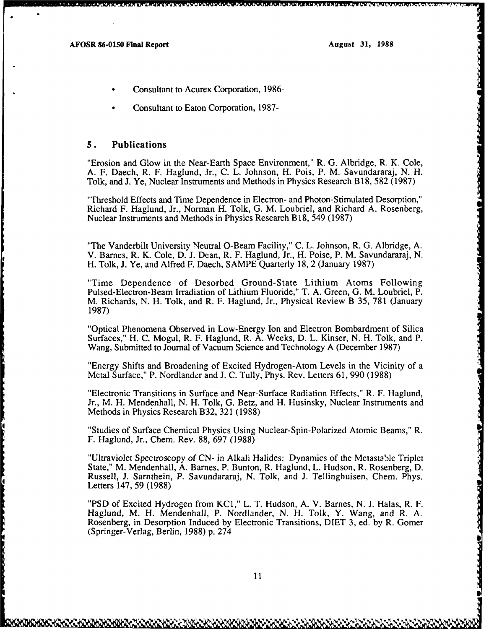- \* Consultant to Acurex Corporation, **1986-**
- \* Consultant to Eaton Corporation, **1987-**

## *5.* Publications

"Erosion and Glow in the Near-Earth Space Environment," R. G. Albridge, R. K. Cole, A. F. Daech, R. F. Haglund, Jr., C. L. Johnson, H. Pois, P. M. Savundararaj, N. H. Tolk, and **J.** Ye, Nuclear Instruments and Methods in Physics Research B 18, 582 (1987)

"Threshold Effects and Time Dependence in Electron- and Photon-Stimulated Desorption," Richard F. Haglund, Jr., Norman H. Tolk, **G.** M. Loubriel, and Richard A. Rosenberg, Nuclear Instruments and Methods in Physics Research B 18, 549 (1987)

"The Vanderbilt University Neutral O-Beam Facility," C. L. Johnson, R. G. Albridge, A. V. Barnes, R. K. Cole, D. J. Dean, R. F. Haglund, Jr., H. Poise, P. M. Savundararaj, N. H. Tolk, **J.** Ye, and Alfred F. Daech, SAMPE Quarterly 18, 2 (January 1987)

"Time Dependence of Desorbed Ground-State Lithium Atoms Following Pulsed-Electron-Beam Irradiation of Lithium Fluoride," T. A. Green, G. M. Loubriel, P. M. Richards, N. H. Tolk, and R. F. Haglund, Jr., Physical Review B 35, 781 (January 1987)

"Optical Phenomena Observed in Low-Energy Ion and Electron Bombardment of Silica Surfaces," H. C. Mogul, R. F. Haglund, R. A. Weeks, D. L. Kinser, N. H. Tolk, and P. Wang, Submitted to Journal of Vacuum Science and Technology A (December 1987)

"Energy Shifts and Broadening of Excited Hydrogen-Atom Levels in the Vicinity of a Metal Surface," P. Nordlander and J. C. Tully, Phys. Rev. Letters 61, 990 (1988)

"Electronic Transitions in Surface and Near-Surface Radiation Effects," R. F. Haglund, Jr., M. H. Mendenhall, N. H. Tolk, G. Betz, and H. Husinsky, Nuclear Instruments and Methods in Physics Research B32, 321 (1988)

"Studies of Surface Chemical Physics Using Nuclear-Spin-Polarized Atomic Beams," R. F. Haglund, Jr., Chem. Rev. 88, 697 (1988)

"Ultraviolet Spectroscopy of CN- in Alkali Halides: Dynamics of the Metastable Triplet State," M. Mendenhall, A. Barnes, P. Bunton, R. Haglund, L. Hudson, R. Rosenberg, D. Russell, J. Sarnthein, P. Savundararaj, N. Tolk, and J. Tellinghuisen, Chem. Phys. Letters 147, 59 (1988)

"PSD of Excited Hydrogen from KCI," L. T. Hudson, A. V. Barnes, N. J. Halas, R. F. Haglund, M. H. Mendenhall, P. Nordlander, N. H. Tolk, Y. Wang, and R. A. Rosenberg, in Desorption Induced by Electronic Transitions, DIET 3, ed. by R. Gomer (Springer-Verlag, Berlin, 1988) p. 274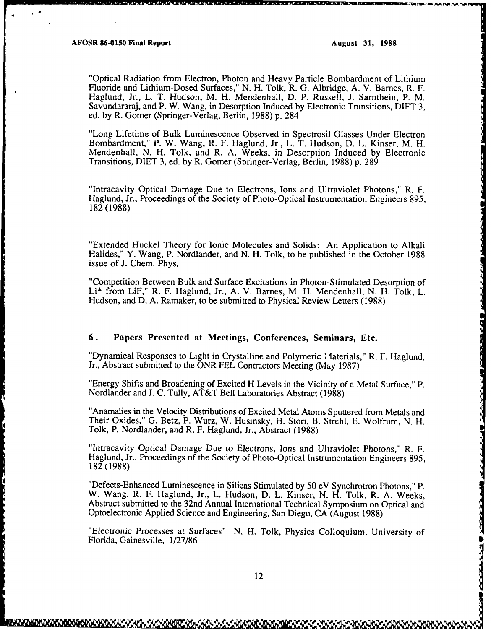**SACTOR DE ESCACES** 

**RDCK** 

**PARTIES** 

"Optical Radiation from Electron, Photon and Heavy Particle Bombardment of Lithium Fluoride and Lithium-Dosed Surfaces," N. H. Tolk, R. G. Albridge, A. V. Barnes, R. F. Haglund, Jr., L. T. Hudson, M. H. Mendenhall, D. P. Russell, J. Sarnthein, P. M. Savundararaj, and P. W. Wang, in Desorption Induced by Electronic Transitions, DIET 3, ed. by R. Gomer (Springer-Verlag, Berlin, 1988) p. 284

"Long Lifetime of Bulk Luminescence Observed in Spectrosil Glasses Under Electron Bombardment," P. W. Wang, R. F. Haglund, Jr., L. T. Hudson, D. L. Kinser, M. H. Mendenhall, N. H. Tolk, and R. A. Weeks, in Desorption Induced by Electronic Transitions, DIET 3, ed. by R. Gomer (Springer-Verlag, Berlin, 1988) p. 289

"Intracavity Optical Damage Due to Electrons, Ions and Ultraviolet Photons," R. F. Haglund, Jr., Proceedings of the Society of Photo-Optical Instrumentation Engineers 895, 182 (1988)

"Extended Huckel Theory for Ionic Molecules and Solids: An Application to Alkali Halides," Y. Wang, P. Nordlander, and N. H. Tolk, to be published in the October 1988 issue of J. Chem. Phys.

"Competition Between Bulk and Surface Excitations in Photon-Stimulated Desorption of Li\* from LiF," R. F. Haglund, Jr., A. V. Barnes, M. H. Mendenhall, N. H. Tolk, L. Hudson, and D. A. Ramaker, to be submitted to Physical Review Letters (1988)

#### **6.** Papers Presented at Meetings, **Conferences, Seminars, Etc.**

"Dynamical Responses to Light in Crystalline and Polymeric *I* laterials," R. F. Haglund, Jr., Abstract submitted to the ONR FEL Contractors Meeting (M<sub>ay</sub> 1987)

"Energy Shifts and Broadening of Excited H Levels in the Vicinity of a Metal Surface," P. Nordlander and J. C. Tully, AT&T Bell Laboratories Abstract (1988)

"Anamalies in the Velocity Distributions of Excited Metal Atoms Sputtered from Metals and Their Oxides," G. Betz, P. Wurz, W. Husinsky, H. Stori, B. Strehl, E. Wolfrum, N. H. Tolk, P. Nordlander, and R. F. Haglund, Jr., Abstract (1988)

"Intracavity Optical Damage Due to Electrons, Ions and Ultraviolet Photons," R. F. Haglund, Jr., Proceedings of the Society of Photo-Optical Instrumentation Engineers 895, 182 (1988)

"Defects-Enhanced Luminescence in Silicas Stimulated by 50 eV Synchrotron Photons," P. W. Wang, R. F. Haglund, Jr., L. Hudson, D. L. Kinser, N. H. Tolk, R. A. Weeks, Abstract submitted to the 32nd Annual International Technical Symposium on Optical and Optoelectronic Applied Science and Engineering, San Diego, CA (August 1988)

"Electronic Processes at Surfaces" N. H. Tolk, Physics Colloquium, University of Florida, Gainesville, 1/27/86